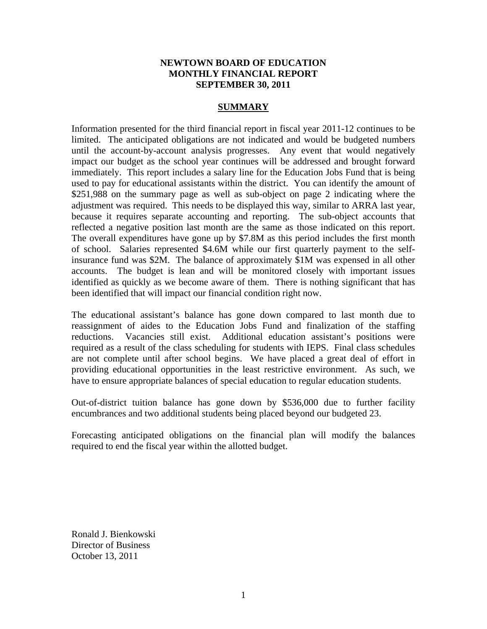## **NEWTOWN BOARD OF EDUCATION MONTHLY FINANCIAL REPORT SEPTEMBER 30, 2011**

### **SUMMARY**

Information presented for the third financial report in fiscal year 2011-12 continues to be limited. The anticipated obligations are not indicated and would be budgeted numbers until the account-by-account analysis progresses. Any event that would negatively impact our budget as the school year continues will be addressed and brought forward immediately. This report includes a salary line for the Education Jobs Fund that is being used to pay for educational assistants within the district. You can identify the amount of \$251,988 on the summary page as well as sub-object on page 2 indicating where the adjustment was required. This needs to be displayed this way, similar to ARRA last year, because it requires separate accounting and reporting. The sub-object accounts that reflected a negative position last month are the same as those indicated on this report. The overall expenditures have gone up by \$7.8M as this period includes the first month of school. Salaries represented \$4.6M while our first quarterly payment to the selfinsurance fund was \$2M. The balance of approximately \$1M was expensed in all other accounts. The budget is lean and will be monitored closely with important issues identified as quickly as we become aware of them. There is nothing significant that has been identified that will impact our financial condition right now.

The educational assistant's balance has gone down compared to last month due to reassignment of aides to the Education Jobs Fund and finalization of the staffing reductions. Vacancies still exist. Additional education assistant's positions were required as a result of the class scheduling for students with IEPS. Final class schedules are not complete until after school begins. We have placed a great deal of effort in providing educational opportunities in the least restrictive environment. As such, we have to ensure appropriate balances of special education to regular education students.

Out-of-district tuition balance has gone down by \$536,000 due to further facility encumbrances and two additional students being placed beyond our budgeted 23.

Forecasting anticipated obligations on the financial plan will modify the balances required to end the fiscal year within the allotted budget.

Ronald J. Bienkowski Director of Business October 13, 2011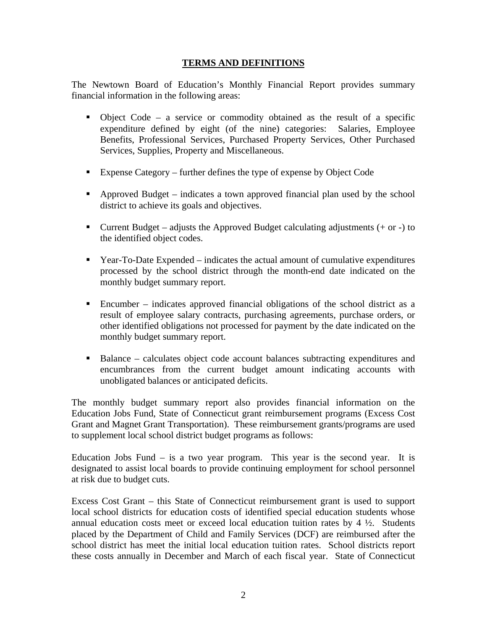## **TERMS AND DEFINITIONS**

The Newtown Board of Education's Monthly Financial Report provides summary financial information in the following areas:

- Object Code a service or commodity obtained as the result of a specific expenditure defined by eight (of the nine) categories: Salaries, Employee Benefits, Professional Services, Purchased Property Services, Other Purchased Services, Supplies, Property and Miscellaneous.
- Expense Category further defines the type of expense by Object Code
- Approved Budget indicates a town approved financial plan used by the school district to achieve its goals and objectives.
- **Current Budget** adjusts the Approved Budget calculating adjustments  $(+ \text{ or } -)$  to the identified object codes.
- Year-To-Date Expended indicates the actual amount of cumulative expenditures processed by the school district through the month-end date indicated on the monthly budget summary report.
- Encumber indicates approved financial obligations of the school district as a result of employee salary contracts, purchasing agreements, purchase orders, or other identified obligations not processed for payment by the date indicated on the monthly budget summary report.
- Balance calculates object code account balances subtracting expenditures and encumbrances from the current budget amount indicating accounts with unobligated balances or anticipated deficits.

The monthly budget summary report also provides financial information on the Education Jobs Fund, State of Connecticut grant reimbursement programs (Excess Cost Grant and Magnet Grant Transportation). These reimbursement grants/programs are used to supplement local school district budget programs as follows:

Education Jobs Fund  $-$  is a two year program. This year is the second year. It is designated to assist local boards to provide continuing employment for school personnel at risk due to budget cuts.

Excess Cost Grant – this State of Connecticut reimbursement grant is used to support local school districts for education costs of identified special education students whose annual education costs meet or exceed local education tuition rates by  $4\frac{1}{2}$ . Students placed by the Department of Child and Family Services (DCF) are reimbursed after the school district has meet the initial local education tuition rates. School districts report these costs annually in December and March of each fiscal year. State of Connecticut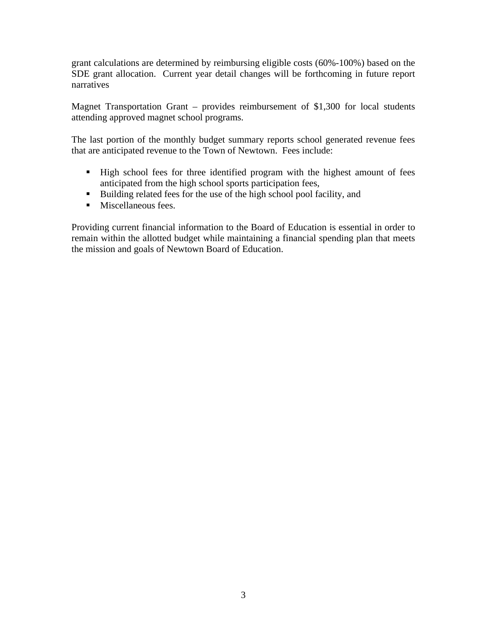grant calculations are determined by reimbursing eligible costs (60%-100%) based on the SDE grant allocation. Current year detail changes will be forthcoming in future report narratives

Magnet Transportation Grant – provides reimbursement of \$1,300 for local students attending approved magnet school programs.

The last portion of the monthly budget summary reports school generated revenue fees that are anticipated revenue to the Town of Newtown. Fees include:

- High school fees for three identified program with the highest amount of fees anticipated from the high school sports participation fees,
- Building related fees for the use of the high school pool facility, and
- **Miscellaneous fees.**

Providing current financial information to the Board of Education is essential in order to remain within the allotted budget while maintaining a financial spending plan that meets the mission and goals of Newtown Board of Education.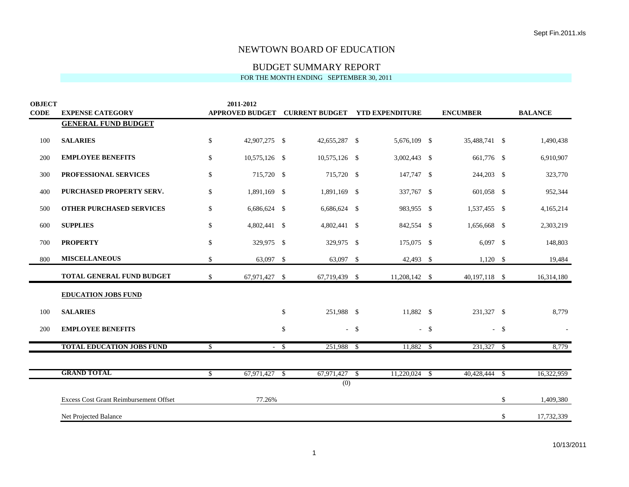# BUDGET SUMMARY REPORT

| <b>OBJECT</b> |                                        | 2011-2012              |              |                       |        |                        |                 |        |                |
|---------------|----------------------------------------|------------------------|--------------|-----------------------|--------|------------------------|-----------------|--------|----------------|
| <b>CODE</b>   | <b>EXPENSE CATEGORY</b>                | <b>APPROVED BUDGET</b> |              | <b>CURRENT BUDGET</b> |        | <b>YTD EXPENDITURE</b> | <b>ENCUMBER</b> |        | <b>BALANCE</b> |
|               | <b>GENERAL FUND BUDGET</b>             |                        |              |                       |        |                        |                 |        |                |
| 100           | <b>SALARIES</b>                        | \$<br>42,907,275 \$    |              | 42,655,287 \$         |        | 5,676,109 \$           | 35,488,741 \$   |        | 1,490,438      |
| 200           | <b>EMPLOYEE BENEFITS</b>               | \$<br>10,575,126 \$    |              | 10,575,126 \$         |        | 3,002,443 \$           | 661,776 \$      |        | 6,910,907      |
| 300           | PROFESSIONAL SERVICES                  | \$<br>715,720 \$       |              | 715,720 \$            |        | 147,747 \$             | 244,203 \$      |        | 323,770        |
| 400           | PURCHASED PROPERTY SERV.               | \$<br>1,891,169 \$     |              | 1,891,169 \$          |        | 337,767 \$             | 601,058 \$      |        | 952,344        |
| 500           | <b>OTHER PURCHASED SERVICES</b>        | \$<br>6,686,624 \$     |              | $6,686,624$ \$        |        | 983,955 \$             | 1,537,455 \$    |        | 4,165,214      |
| 600           | <b>SUPPLIES</b>                        | \$<br>4,802,441 \$     |              | 4,802,441 \$          |        | 842,554 \$             | 1,656,668 \$    |        | 2,303,219      |
| 700           | <b>PROPERTY</b>                        | \$<br>329,975 \$       |              | 329,975 \$            |        | 175,075 \$             | $6,097$ \$      |        | 148,803        |
| 800           | <b>MISCELLANEOUS</b>                   | \$<br>63,097 \$        |              | 63,097 \$             |        | 42,493 \$              | $1,120$ \$      |        | 19,484         |
|               | <b>TOTAL GENERAL FUND BUDGET</b>       | \$<br>67,971,427 \$    |              | 67,719,439 \$         |        | 11,208,142 \$          | $40,197,118$ \$ |        | 16,314,180     |
|               | <b>EDUCATION JOBS FUND</b>             |                        |              |                       |        |                        |                 |        |                |
| 100           | <b>SALARIES</b>                        |                        | $\mathbb{S}$ | 251.988 \$            |        | 11.882 \$              | 231.327 \$      |        | 8,779          |
| 200           | <b>EMPLOYEE BENEFITS</b>               |                        | \$           |                       | $-$ \$ | $-$ \$                 |                 | $-$ \$ |                |
|               | <b>TOTAL EDUCATION JOBS FUND</b>       | \$                     | $-$ \$       | 251,988 \$            |        | $11,882$ \$            | $231,327$ \$    |        | 8,779          |
|               |                                        |                        |              |                       |        |                        |                 |        |                |
|               | <b>GRAND TOTAL</b>                     | \$<br>$67,971,427$ \$  |              | $67,971,427$ \$       |        | $11,220,024$ \$        | 40,428,444      | \$     | 16,322,959     |
|               |                                        |                        |              | (0)                   |        |                        |                 |        |                |
|               | Excess Cost Grant Reimbursement Offset | 77.26%                 |              |                       |        |                        |                 | \$     | 1,409,380      |
|               | Net Projected Balance                  |                        |              |                       |        |                        |                 | \$     | 17,732,339     |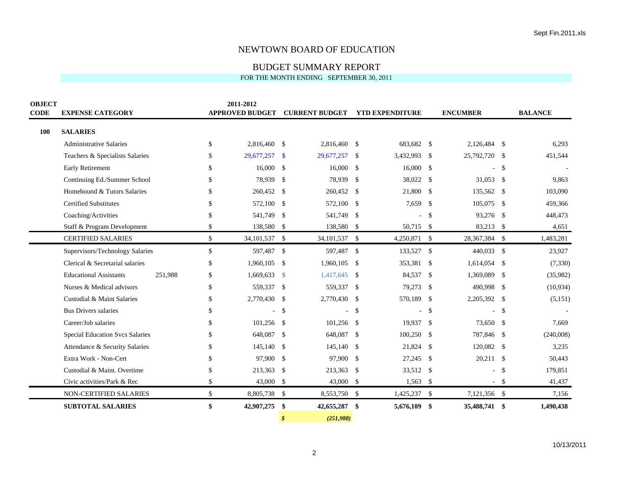BUDGET SUMMARY REPORT

| <b>OBJECT</b><br><b>CODE</b> | <b>EXPENSE CATEGORY</b>                  |     | 2011-2012<br><b>APPROVED BUDGET</b> |                    | <b>CURRENT BUDGET</b> |               | <b>YTD EXPENDITURE</b> |                    | <b>ENCUMBER</b> |        | <b>BALANCE</b> |
|------------------------------|------------------------------------------|-----|-------------------------------------|--------------------|-----------------------|---------------|------------------------|--------------------|-----------------|--------|----------------|
|                              |                                          |     |                                     |                    |                       |               |                        |                    |                 |        |                |
| 100                          | <b>SALARIES</b>                          |     |                                     |                    |                       |               |                        |                    |                 |        |                |
|                              | <b>Administrative Salaries</b>           | \$  | 2,816,460                           | \$                 | 2,816,460             | \$            | 683,682                | $\mathbb{S}$       | 2,126,484 \$    |        | 6,293          |
|                              | Teachers & Specialists Salaries          | \$  | 29,677,257                          | $\mathbf{s}$       | 29,677,257            | $\mathbf{\$}$ | 3,432,993              | $\mathbf{\hat{S}}$ | 25,792,720      | - \$   | 451,544        |
|                              | Early Retirement                         | \$. | 16,000                              | $\mathbf{\hat{S}}$ | 16,000                | \$            | 16,000                 | \$                 |                 | \$     |                |
|                              | Continuing Ed./Summer School             | \$  | 78,939                              | \$                 | 78,939                | \$            | 38,022                 | $\mathbf{\hat{S}}$ | 31,053          | -\$    | 9,863          |
|                              | Homebound & Tutors Salaries              | \$. | 260,452                             | -S                 | 260,452               | \$            | 21,800                 | \$                 | 135,562 \$      |        | 103,090        |
|                              | <b>Certified Substitutes</b>             | \$. | 572,100 \$                          |                    | 572,100               | \$            | 7,659                  | \$                 | 105,075         | -\$    | 459,366        |
|                              | Coaching/Activities                      | \$  | 541,749                             | \$                 | 541,749               | \$            |                        | \$                 | 93,276 \$       |        | 448,473        |
|                              | Staff & Program Development              | \$  | 138,580 \$                          |                    | 138,580 \$            |               | 50,715 \$              |                    | 83,213 \$       |        | 4,651          |
|                              | <b>CERTIFIED SALARIES</b>                | \$  | 34, 101, 537 \$                     |                    | 34, 101, 537 \$       |               | 4,250,871 \$           |                    | 28,367,384 \$   |        | 1,483,281      |
|                              | Supervisors/Technology Salaries          | \$  | 597,487 \$                          |                    | 597,487               | $\mathbb{S}$  | 133,527                | \$                 | 440,033         | - \$   | 23,927         |
|                              | Clerical & Secretarial salaries          | \$  | 1,960,105                           | \$                 | 1,960,105             | \$            | 353,381                | \$                 | 1,614,054       | -\$    | (7, 330)       |
|                              | <b>Educational Assistants</b><br>251,988 | \$  | 1,669,633                           | $\mathbf{\$}$      | 1,417,645             | \$            | 84,537                 | \$                 | 1,369,089       | -\$    | (35,982)       |
|                              | Nurses & Medical advisors                | \$  | 559,337 \$                          |                    | 559,337               | $\mathcal{S}$ | 79,273                 | $\mathbf{\hat{S}}$ | 490,998         | - \$   | (10, 934)      |
|                              | Custodial & Maint Salaries               | \$  | 2,770,430 \$                        |                    | 2,770,430             | $\mathbb{S}$  | 570,189                | $\mathbb{S}$       | 2,205,392 \$    |        | (5,151)        |
|                              | Bus Drivers salaries                     | \$  |                                     | $\mathcal{S}$      |                       | \$            |                        | \$                 |                 | -\$    |                |
|                              | Career/Job salaries                      | \$  | 101,256                             | $\mathcal{S}$      | 101,256               | $\mathcal{S}$ | 19,937                 | $\mathbf{\hat{S}}$ | 73,650          | -\$    | 7,669          |
|                              | Special Education Svcs Salaries          | \$. | 648,087                             | $\mathbf{\hat{S}}$ | 648,087               | \$            | 100,250                | \$                 | 787,846         | -\$    | (240,008)      |
|                              | Attendance & Security Salaries           | \$  | 145,140                             | $\mathbf{\hat{S}}$ | 145,140               | $\mathcal{S}$ | 21,824                 | $\mathbf{\hat{S}}$ | 120,082         | -\$    | 3,235          |
|                              | Extra Work - Non-Cert                    | \$  | 97,900 \$                           |                    | 97,900                | \$            | 27,245                 | \$                 | $20,211$ \$     |        | 50,443         |
|                              | Custodial & Maint. Overtime              | \$. | 213,363 \$                          |                    | 213,363               | \$            | 33,512 \$              |                    |                 | -\$    | 179,851        |
|                              | Civic activities/Park & Rec              | \$  | 43,000 \$                           |                    | 43,000                | \$            | 1,563                  | \$                 |                 | $-$ \$ | 41,437         |
|                              | NON-CERTIFIED SALARIES                   | \$  | 8,805,738 \$                        |                    | 8,553,750 \$          |               | 1,425,237 \$           |                    | 7,121,356 \$    |        | 7,156          |
|                              | <b>SUBTOTAL SALARIES</b>                 | \$  | 42,907,275                          | \$                 | 42,655,287            | \$            | 5,676,109              | -\$                | 35,488,741 \$   |        | 1,490,438      |
|                              |                                          |     |                                     | \$                 | (251,988)             |               |                        |                    |                 |        |                |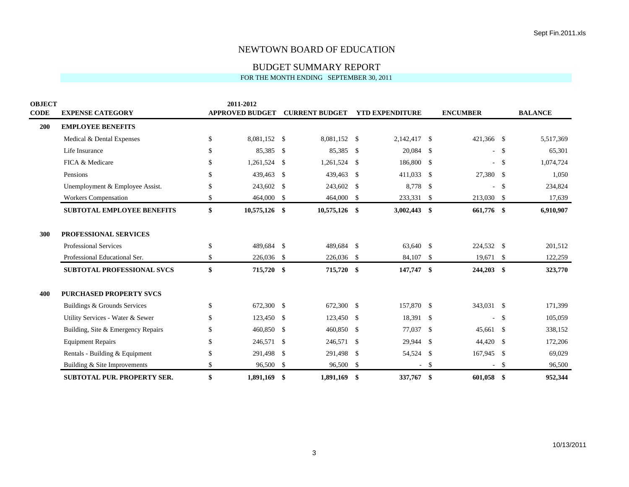BUDGET SUMMARY REPORT

| <b>OBJECT</b><br><b>CODE</b> | <b>EXPENSE CATEGORY</b>            |    | 2011-2012<br><b>APPROVED BUDGET</b> |      | <b>CURRENT BUDGET</b> |               | <b>YTD EXPENDITURE</b> |               | <b>ENCUMBER</b> |        | <b>BALANCE</b> |
|------------------------------|------------------------------------|----|-------------------------------------|------|-----------------------|---------------|------------------------|---------------|-----------------|--------|----------------|
| 200                          | <b>EMPLOYEE BENEFITS</b>           |    |                                     |      |                       |               |                        |               |                 |        |                |
|                              | Medical & Dental Expenses          | \$ | 8,081,152 \$                        |      | 8,081,152 \$          |               | 2,142,417              | \$            | 421,366 \$      |        | 5,517,369      |
|                              | Life Insurance                     | \$ | 85,385 \$                           |      | 85,385 \$             |               | 20,084                 | -S            |                 | $-$ \$ | 65,301         |
|                              | FICA & Medicare                    | \$ | $1,261,524$ \$                      |      | 1,261,524 \$          |               | 186,800                | \$            | $\sim$          | \$     | 1,074,724      |
|                              | Pensions                           | \$ | 439,463 \$                          |      | 439,463               | $\mathcal{S}$ | 411,033                | \$            | 27,380 \$       |        | 1,050          |
|                              | Unemployment & Employee Assist.    | \$ | 243,602 \$                          |      | 243,602               | <sup>\$</sup> | 8,778                  | \$            |                 | -\$    | 234,824        |
|                              | <b>Workers Compensation</b>        | \$ | 464,000 \$                          |      | 464,000 \$            |               | 233,331 \$             |               | 213,030 \$      |        | 17,639         |
|                              | <b>SUBTOTAL EMPLOYEE BENEFITS</b>  | \$ | 10,575,126 \$                       |      | 10,575,126 \$         |               | 3,002,443              | \$            | 661,776 \$      |        | 6,910,907      |
| 300                          | PROFESSIONAL SERVICES              |    |                                     |      |                       |               |                        |               |                 |        |                |
|                              | <b>Professional Services</b>       | \$ | 489,684 \$                          |      | 489,684 \$            |               | 63,640 \$              |               | 224,532 \$      |        | 201,512        |
|                              | Professional Educational Ser.      | \$ | 226,036 \$                          |      | 226,036 \$            |               | 84,107                 | \$            | 19,671 \$       |        | 122,259        |
|                              | <b>SUBTOTAL PROFESSIONAL SVCS</b>  | \$ | 715,720 \$                          |      | 715,720 \$            |               | 147,747                | \$            | 244,203 \$      |        | 323,770        |
| 400                          | <b>PURCHASED PROPERTY SVCS</b>     |    |                                     |      |                       |               |                        |               |                 |        |                |
|                              | Buildings & Grounds Services       | \$ | 672,300 \$                          |      | 672,300 \$            |               | 157,870 \$             |               | 343,031 \$      |        | 171,399        |
|                              | Utility Services - Water & Sewer   | \$ | 123,450                             | -\$  | 123,450 \$            |               | 18,391                 | \$            |                 | \$     | 105,059        |
|                              | Building, Site & Emergency Repairs | S  | 460,850 \$                          |      | 460,850 \$            |               | 77,037                 | -S            | 45,661 \$       |        | 338,152        |
|                              | <b>Equipment Repairs</b>           | \$ | 246,571                             | - \$ | 246,571 \$            |               | 29,944                 | \$            | 44,420          | -\$    | 172,206        |
|                              | Rentals - Building & Equipment     | \$ | 291,498 \$                          |      | 291,498 \$            |               | 54,524 \$              |               | 167,945 \$      |        | 69,029         |
|                              | Building & Site Improvements       | \$ | 96,500 \$                           |      | 96,500 \$             |               |                        | <sup>\$</sup> |                 | \$     | 96,500         |
|                              | <b>SUBTOTAL PUR. PROPERTY SER.</b> | \$ | 1,891,169 \$                        |      | 1,891,169             | -\$           | 337,767                | \$            | 601,058         | -\$    | 952,344        |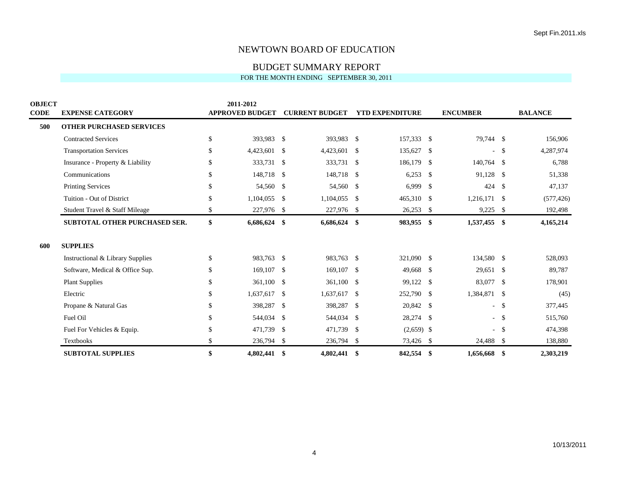BUDGET SUMMARY REPORT

| <b>OBJECT</b> |                                  | 2011-2012              |      |                       |                    |                        |     |                 |               |                |
|---------------|----------------------------------|------------------------|------|-----------------------|--------------------|------------------------|-----|-----------------|---------------|----------------|
| <b>CODE</b>   | <b>EXPENSE CATEGORY</b>          | <b>APPROVED BUDGET</b> |      | <b>CURRENT BUDGET</b> |                    | <b>YTD EXPENDITURE</b> |     | <b>ENCUMBER</b> |               | <b>BALANCE</b> |
| 500           | <b>OTHER PURCHASED SERVICES</b>  |                        |      |                       |                    |                        |     |                 |               |                |
|               | <b>Contracted Services</b>       | \$<br>393,983 \$       |      | 393,983 \$            |                    | 157,333 \$             |     | 79,744 \$       |               | 156,906        |
|               | <b>Transportation Services</b>   | \$<br>4,423,601 \$     |      | 4,423,601             | -\$                | 135,627                | -\$ | ä,              | \$            | 4,287,974      |
|               | Insurance - Property & Liability | \$<br>333,731          | - \$ | 333,731               | -\$                | 186,179                | -S  | 140,764 \$      |               | 6,788          |
|               | Communications                   | \$<br>148,718 \$       |      | 148,718               | -\$                | 6,253                  | -S  | 91,128          | - \$          | 51,338         |
|               | <b>Printing Services</b>         | \$<br>54,560           | - \$ | 54,560                | $\mathcal{S}$      | 6,999                  | -\$ | 424             | <sup>\$</sup> | 47,137         |
|               | Tuition - Out of District        | \$<br>1,104,055        | -\$  | 1,104,055             | $\mathcal{S}$      | 465,310 \$             |     | 1,216,171       | -\$           | (577, 426)     |
|               | Student Travel & Staff Mileage   | \$<br>227,976 \$       |      | 227,976 \$            |                    | 26,253                 | -\$ | 9,225           | - \$          | 192,498        |
|               | SUBTOTAL OTHER PURCHASED SER.    | \$<br>6,686,624        | -\$  | 6,686,624             | \$                 | 983,955                | \$  | 1,537,455 \$    |               | 4,165,214      |
| 600           | <b>SUPPLIES</b>                  |                        |      |                       |                    |                        |     |                 |               |                |
|               | Instructional & Library Supplies | \$<br>983,763 \$       |      | 983,763 \$            |                    | 321,090 \$             |     | 134,580 \$      |               | 528,093        |
|               | Software, Medical & Office Sup.  | \$<br>169,107 \$       |      | $169,107$ \$          |                    | 49,668                 | -S  | 29,651 \$       |               | 89,787         |
|               | <b>Plant Supplies</b>            | \$<br>361,100 \$       |      | 361,100               | $\mathcal{S}$      | 99,122                 | \$  | 83,077          | -\$           | 178,901        |
|               | Electric                         | \$<br>1,637,617        | - \$ | 1,637,617             | -\$                | 252,790                | -\$ | 1,384,871       | - \$          | (45)           |
|               | Propane & Natural Gas            | \$<br>398,287          | - \$ | 398,287               | -\$                | 20,842                 | -\$ |                 | - \$          | 377,445        |
|               | Fuel Oil                         | \$<br>544,034          | - \$ | 544,034               | $\mathbf{\hat{S}}$ | 28,274                 | -\$ |                 | $-$ \$        | 515,760        |
|               | Fuel For Vehicles & Equip.       | \$<br>471,739          | -\$  | 471,739               | $\mathcal{S}$      | $(2,659)$ \$           |     |                 | -\$           | 474,398        |
|               | Textbooks                        | \$<br>236,794 \$       |      | 236,794 \$            |                    | 73,426 \$              |     | 24,488 \$       |               | 138,880        |
|               | <b>SUBTOTAL SUPPLIES</b>         | \$<br>4,802,441 \$     |      | 4,802,441 \$          |                    | 842,554                | -\$ | 1,656,668       | -\$           | 2,303,219      |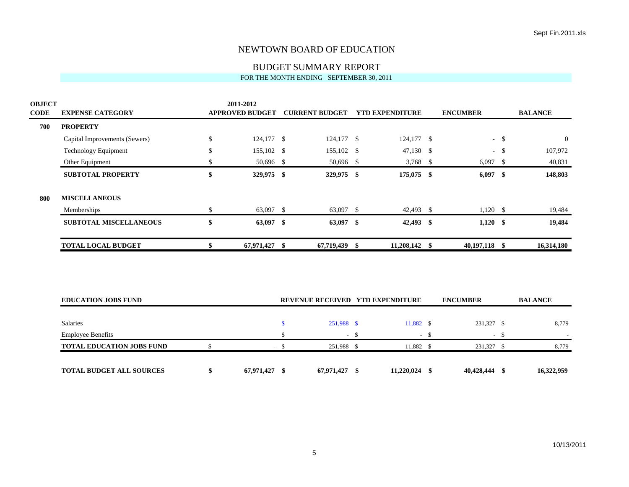# BUDGET SUMMARY REPORT

| <b>OBJECT</b><br><b>CODE</b> | <b>EXPENSE CATEGORY</b>          | 2011-2012<br><b>APPROVED BUDGET</b> |        | <b>CURRENT BUDGET</b> |        | <b>YTD EXPENDITURE</b>           |        | <b>ENCUMBER</b> |        | <b>BALANCE</b> |
|------------------------------|----------------------------------|-------------------------------------|--------|-----------------------|--------|----------------------------------|--------|-----------------|--------|----------------|
| 700                          | <b>PROPERTY</b>                  |                                     |        |                       |        |                                  |        |                 |        |                |
|                              | Capital Improvements (Sewers)    | \$<br>124,177 \$                    |        | 124,177 \$            |        | 124,177 \$                       |        |                 | $-$ \$ | $\theta$       |
|                              | <b>Technology Equipment</b>      | \$<br>155,102 \$                    |        | 155,102 \$            |        | $47,130$ \$                      |        |                 | $-$ \$ | 107,972        |
|                              | Other Equipment                  | \$<br>50,696 \$                     |        | 50,696 \$             |        | 3,768 $\frac{1}{2}$              |        | $6,097$ \$      |        | 40,831         |
|                              | <b>SUBTOTAL PROPERTY</b>         | \$<br>329,975 \$                    |        | 329,975 \$            |        | 175,075 \$                       |        | 6,097           | \$     | 148,803        |
| 800                          | <b>MISCELLANEOUS</b>             |                                     |        |                       |        |                                  |        |                 |        |                |
|                              | Memberships                      | \$<br>63,097 \$                     |        | 63,097 \$             |        | 42,493 \$                        |        | $1,120$ \$      |        | 19,484         |
|                              | <b>SUBTOTAL MISCELLANEOUS</b>    | \$<br>63,097 \$                     |        | 63,097 \$             |        | 42,493 \$                        |        | $1,120$ \$      |        | 19,484         |
|                              | <b>TOTAL LOCAL BUDGET</b>        | \$<br>67,971,427 \$                 |        | 67,719,439 \$         |        | 11,208,142 \$                    |        | 40,197,118 \$   |        | 16,314,180     |
|                              | <b>EDUCATION JOBS FUND</b>       |                                     |        |                       |        | REVENUE RECEIVED YTD EXPENDITURE |        | <b>ENCUMBER</b> |        | <b>BALANCE</b> |
|                              |                                  |                                     |        |                       |        |                                  |        |                 |        |                |
|                              | <b>Salaries</b>                  |                                     | \$     | 251,988 \$            |        | 11,882 \$                        |        | 231,327 \$      |        | 8,779          |
|                              | <b>Employee Benefits</b>         |                                     | \$     |                       | $-$ \$ |                                  | $-$ \$ |                 | $-$ \$ |                |
|                              | <b>TOTAL EDUCATION JOBS FUND</b> | \$                                  | $-$ \$ | 251,988 \$            |        | 11,882 \$                        |        | 231,327 \$      |        | 8,779          |
|                              | <b>TOTAL BUDGET ALL SOURCES</b>  | \$<br>67,971,427 \$                 |        | 67,971,427 \$         |        | 11,220,024 \$                    |        | 40,428,444      | -\$    | 16,322,959     |